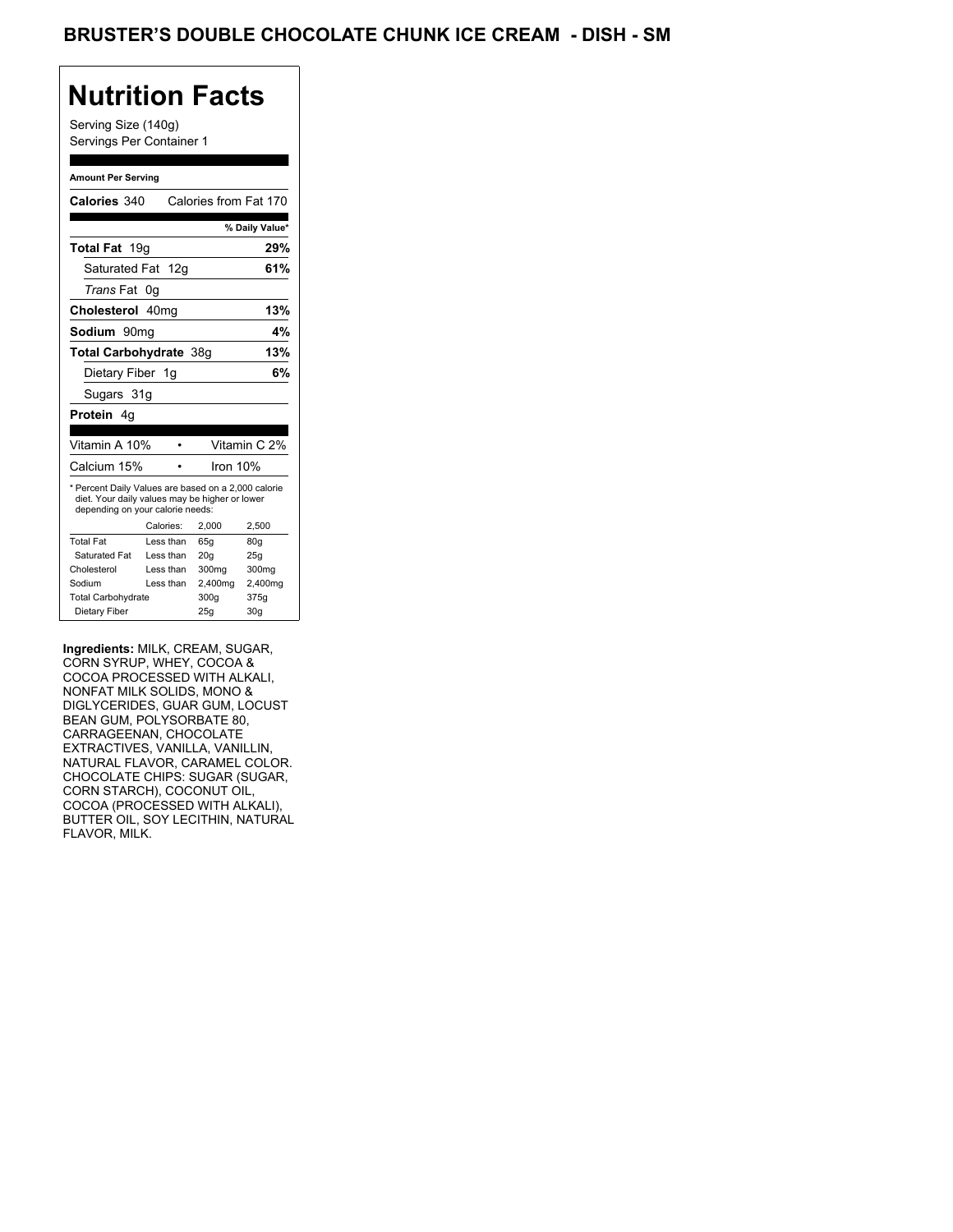Serving Size (140g) Servings Per Container 1

#### **Amount Per Serving**

| Calories 340                                                                                                                              |           | Calories from Fat 170 |                |
|-------------------------------------------------------------------------------------------------------------------------------------------|-----------|-----------------------|----------------|
|                                                                                                                                           |           |                       | % Daily Value* |
| Total Fat 19g                                                                                                                             |           |                       | 29%            |
| Saturated Fat 12g                                                                                                                         |           |                       | 61%            |
| <i>Trans</i> Fat                                                                                                                          | 0g        |                       |                |
| Cholesterol 40mg                                                                                                                          |           |                       | 13%            |
| Sodium 90mq                                                                                                                               |           |                       | 4%             |
| Total Carbohydrate 38q                                                                                                                    |           |                       | 13%            |
| Dietary Fiber 1g                                                                                                                          |           |                       | 6%             |
| Sugars 31g                                                                                                                                |           |                       |                |
| <b>Protein</b> 4a                                                                                                                         |           |                       |                |
|                                                                                                                                           |           |                       |                |
| Vitamin A 10%                                                                                                                             |           |                       | Vitamin C 2%   |
| Calcium 15%                                                                                                                               |           | Iron 10%              |                |
| * Percent Daily Values are based on a 2,000 calorie<br>diet. Your daily values may be higher or lower<br>depending on your calorie needs: |           |                       |                |
|                                                                                                                                           |           |                       |                |
|                                                                                                                                           | Calories: | 2.000                 | 2,500          |
| <b>Total Fat</b>                                                                                                                          | Less than | 65q                   | 80q            |
| Saturated Fat                                                                                                                             | Less than | 20q                   | 25q            |
| Cholesterol                                                                                                                               | Less than | 300mg                 | 300mg          |
| Sodium                                                                                                                                    | Less than | 2,400mg               | 2,400mg        |
| <b>Total Carbohydrate</b>                                                                                                                 |           | 300g                  | 375g           |

**Ingredients:** MILK, CREAM, SUGAR, CORN SYRUP, WHEY, COCOA & COCOA PROCESSED WITH ALKALI, NONFAT MILK SOLIDS, MONO & DIGLYCERIDES, GUAR GUM, LOCUST BEAN GUM, POLYSORBATE 80, CARRAGEENAN, CHOCOLATE EXTRACTIVES, VANILLA, VANILLIN, NATURAL FLAVOR, CARAMEL COLOR. CHOCOLATE CHIPS: SUGAR (SUGAR, CORN STARCH), COCONUT OIL, COCOA (PROCESSED WITH ALKALI), BUTTER OIL, SOY LECITHIN, NATURAL FLAVOR, MILK.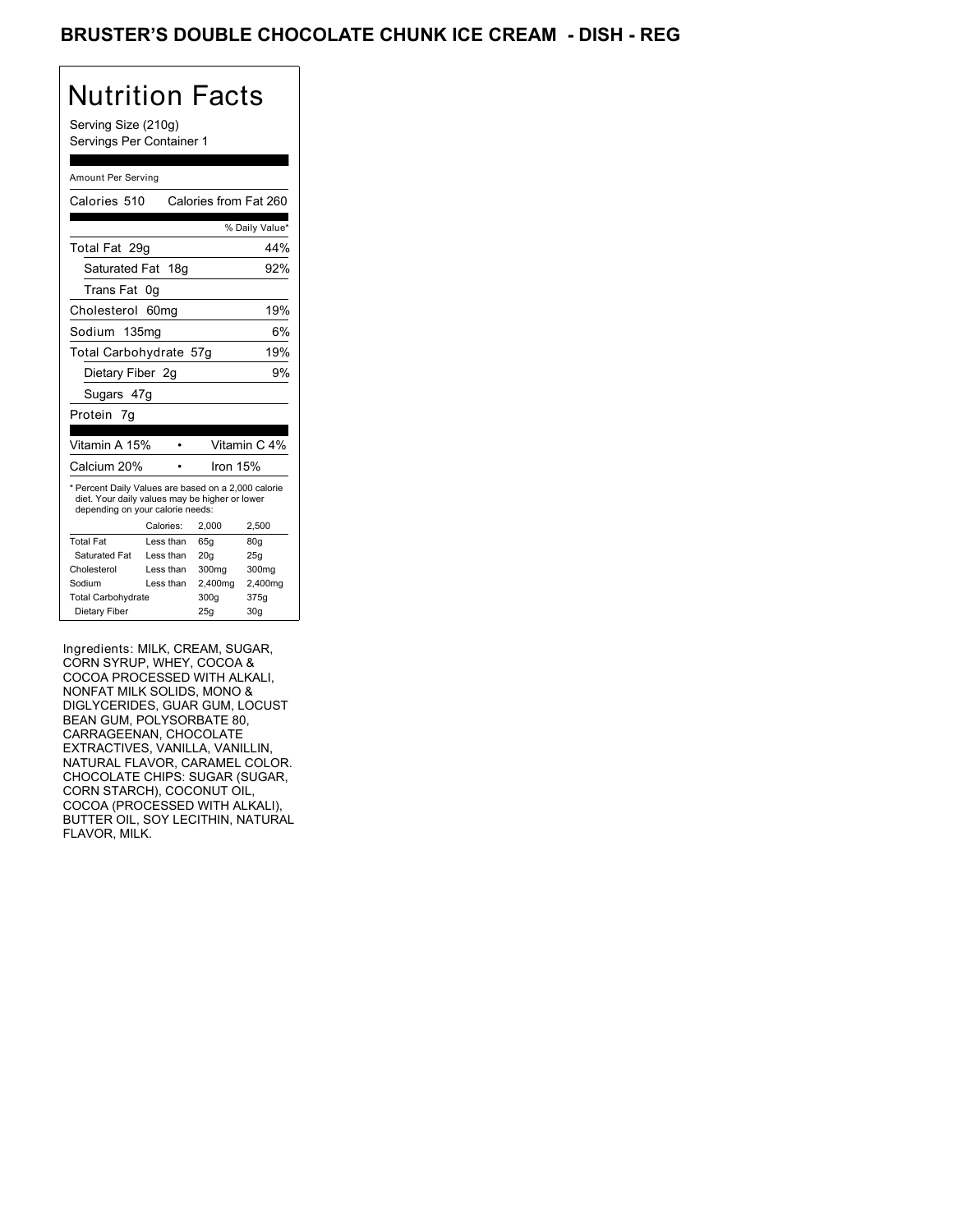Serving Size (210g) Servings Per Container 1

### Amount Per Serving

| Calories 510                                                                                                                              |                  | Calories from Fat 260 |                 |
|-------------------------------------------------------------------------------------------------------------------------------------------|------------------|-----------------------|-----------------|
|                                                                                                                                           |                  |                       | % Daily Value*  |
| Total Fat 29g                                                                                                                             |                  |                       | 44%             |
| Saturated Fat 18g                                                                                                                         |                  |                       | 92%             |
| Trans Fat                                                                                                                                 | 0g               |                       |                 |
| Cholesterol                                                                                                                               | 60 <sub>mq</sub> |                       | 19%             |
| Sodium 135ma                                                                                                                              |                  |                       | 6%              |
| Total Carbohydrate 57g                                                                                                                    |                  |                       | 19%             |
| Dietary Fiber 2g                                                                                                                          |                  |                       | 9%              |
| Sugars 47g                                                                                                                                |                  |                       |                 |
| Protein 7g                                                                                                                                |                  |                       |                 |
|                                                                                                                                           |                  |                       |                 |
| Vitamin A 15%                                                                                                                             |                  |                       | Vitamin C 4%    |
| Calcium 20%                                                                                                                               |                  | Iron 15%              |                 |
| * Percent Daily Values are based on a 2,000 calorie<br>diet. Your daily values may be higher or lower<br>depending on your calorie needs: |                  |                       |                 |
|                                                                                                                                           | Calories:        | 2.000                 | 2,500           |
| <b>Total Fat</b>                                                                                                                          | Less than        | 65q                   | 80 <sub>g</sub> |
| Saturated Fat                                                                                                                             | Less than        | 20 <sub>g</sub>       | 25g             |
| Cholesterol                                                                                                                               | Less than        | 300mg                 | 300mg           |
| Sodium                                                                                                                                    | Less than        | 2,400mg               | 2,400mg         |
| <b>Total Carbohydrate</b>                                                                                                                 |                  | 300g                  | 375g            |
|                                                                                                                                           |                  |                       |                 |

Ingredients: MILK, CREAM, SUGAR, CORN SYRUP, WHEY, COCOA & COCOA PROCESSED WITH ALKALI, NONFAT MILK SOLIDS, MONO & DIGLYCERIDES, GUAR GUM, LOCUST BEAN GUM, POLYSORBATE 80, CARRAGEENAN, CHOCOLATE EXTRACTIVES, VANILLA, VANILLIN, NATURAL FLAVOR, CARAMEL COLOR. CHOCOLATE CHIPS: SUGAR (SUGAR, CORN STARCH), COCONUT OIL, COCOA (PROCESSED WITH ALKALI), BUTTER OIL, SOY LECITHIN, NATURAL FLAVOR, MILK.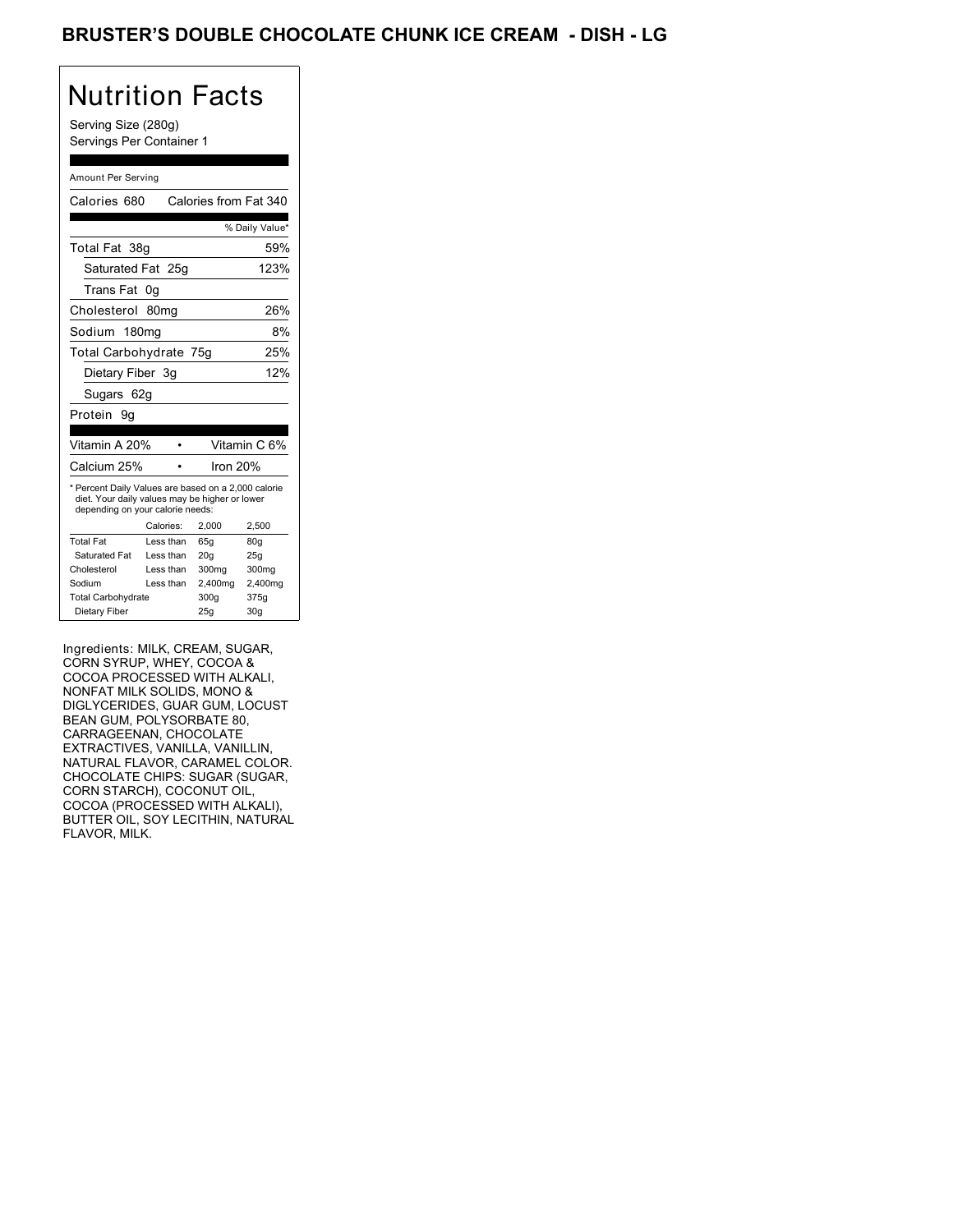### BRUSTER'S DOUBLE CHOCOLATE CHUNK ICE CREAM - DISH - LG

# Nutrition Facts

Serving Size (280g) Servings Per Container 1

#### Amount Per Serving

|                                                                                                                                           |          | % Daily Value*                                  |  |
|-------------------------------------------------------------------------------------------------------------------------------------------|----------|-------------------------------------------------|--|
| Total Fat 38g                                                                                                                             |          | 59%                                             |  |
| Saturated Fat 25g                                                                                                                         |          | 123%                                            |  |
| 0g                                                                                                                                        |          |                                                 |  |
| 80 <sub>mq</sub>                                                                                                                          |          | 26%                                             |  |
| Sodium 180mg                                                                                                                              |          | 8%                                              |  |
|                                                                                                                                           |          | 25%                                             |  |
| Dietary Fiber 3g                                                                                                                          |          | 12%                                             |  |
| Sugars 62g                                                                                                                                |          |                                                 |  |
|                                                                                                                                           |          |                                                 |  |
|                                                                                                                                           |          |                                                 |  |
| Vitamin A 20%                                                                                                                             |          | Vitamin C 6%                                    |  |
|                                                                                                                                           | lron 20% |                                                 |  |
| * Percent Daily Values are based on a 2,000 calorie<br>diet. Your daily values may be higher or lower<br>depending on your calorie needs: |          |                                                 |  |
| Calories:                                                                                                                                 | 2,000    | 2,500                                           |  |
| Less than                                                                                                                                 | 65q      | 80q                                             |  |
| Less than                                                                                                                                 | 20q      | 25q                                             |  |
|                                                                                                                                           |          |                                                 |  |
| Less than                                                                                                                                 | 300mg    | 300mg                                           |  |
| Less than                                                                                                                                 | 2,400mg  | 2,400mg                                         |  |
| <b>Total Carbohydrate</b>                                                                                                                 | 300g     | 375g                                            |  |
|                                                                                                                                           |          | Calories from Fat 340<br>Total Carbohydrate 75g |  |

Ingredients: MILK, CREAM, SUGAR, CORN SYRUP, WHEY, COCOA & COCOA PROCESSED WITH ALKALI, NONFAT MILK SOLIDS, MONO & DIGLYCERIDES, GUAR GUM, LOCUST BEAN GUM, POLYSORBATE 80, CARRAGEENAN, CHOCOLATE EXTRACTIVES, VANILLA, VANILLIN, NATURAL FLAVOR, CARAMEL COLOR. CHOCOLATE CHIPS: SUGAR (SUGAR, CORN STARCH), COCONUT OIL, COCOA (PROCESSED WITH ALKALI), BUTTER OIL, SOY LECITHIN, NATURAL FLAVOR, MILK.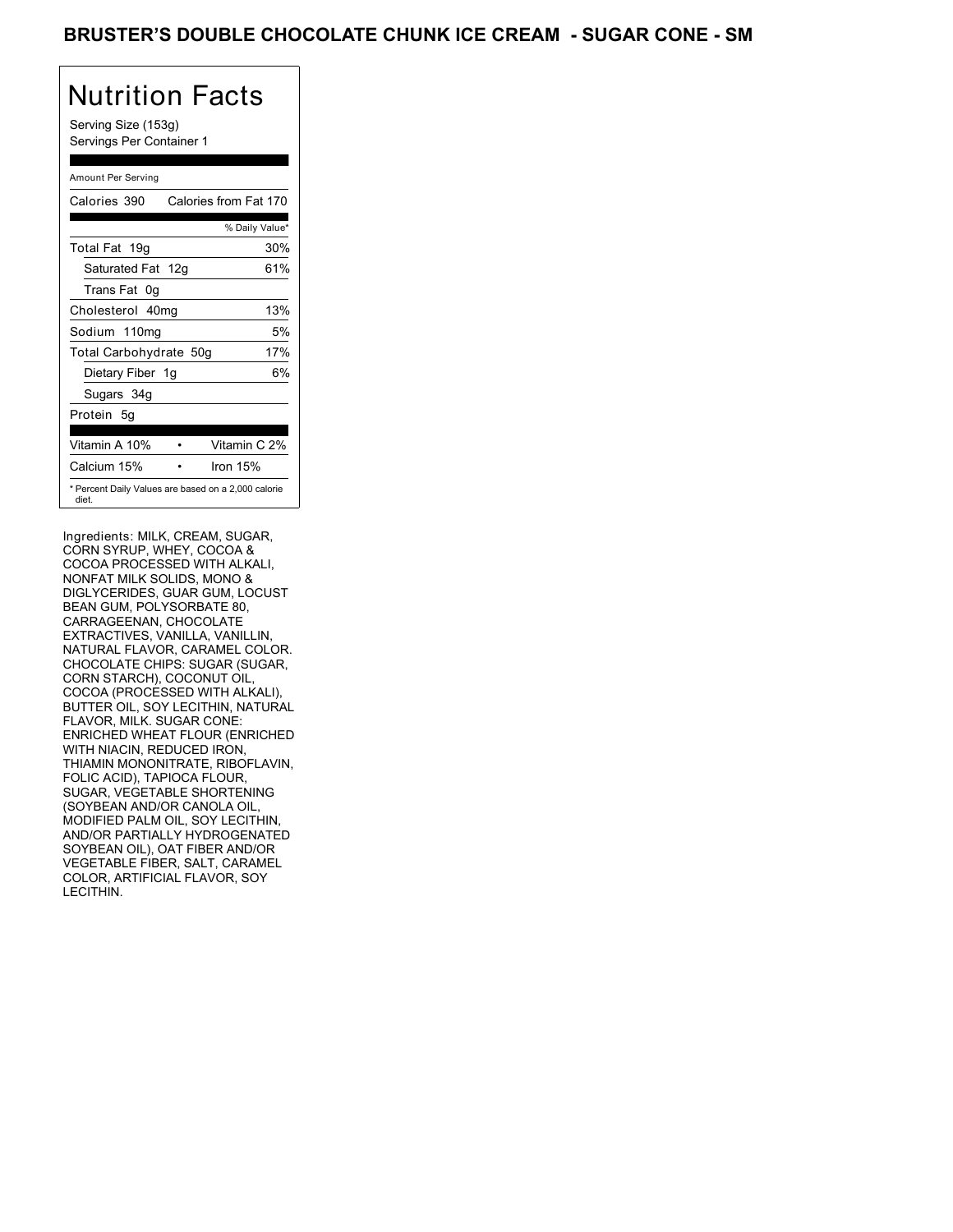Serving Size (153g) Servings Per Container 1

### Amount Per Serving

| Calories 390           | Calories from Fat 170                               |
|------------------------|-----------------------------------------------------|
|                        | % Daily Value*                                      |
| Total Fat 19g          | 30%                                                 |
| Saturated Fat 12g      | 61%                                                 |
| Trans Fat 0q           |                                                     |
| Cholesterol 40mg       | 13%                                                 |
| Sodium 110mg           | 5%                                                  |
| Total Carbohydrate 50g | 17%                                                 |
| Dietary Fiber 1g       | 6%                                                  |
| Sugars 34g             |                                                     |
| Protein 5q             |                                                     |
|                        |                                                     |
| Vitamin A 10%          | Vitamin C 2%                                        |
| Calcium 15%            | Iron $15%$                                          |
| diet.                  | * Percent Daily Values are based on a 2,000 calorie |

Ingredients: MILK, CREAM, SUGAR, CORN SYRUP, WHEY, COCOA & COCOA PROCESSED WITH ALKALI, NONFAT MILK SOLIDS, MONO & DIGLYCERIDES, GUAR GUM, LOCUST BEAN GUM, POLYSORBATE 80, CARRAGEENAN, CHOCOLATE EXTRACTIVES, VANILLA, VANILLIN, NATURAL FLAVOR, CARAMEL COLOR. CHOCOLATE CHIPS: SUGAR (SUGAR, CORN STARCH), COCONUT OIL, COCOA (PROCESSED WITH ALKALI), BUTTER OIL, SOY LECITHIN, NATURAL FLAVOR, MILK. SUGAR CONE: ENRICHED WHEAT FLOUR (ENRICHED WITH NIACIN, REDUCED IRON, THIAMIN MONONITRATE, RIBOFLAVIN, FOLIC ACID), TAPIOCA FLOUR, SUGAR, VEGETABLE SHORTENING (SOYBEAN AND/OR CANOLA OIL, MODIFIED PALM OIL, SOY LECITHIN, AND/OR PARTIALLY HYDROGENATED SOYBEAN OIL), OAT FIBER AND/OR VEGETABLE FIBER, SALT, CARAMEL COLOR, ARTIFICIAL FLAVOR, SOY LECITHIN.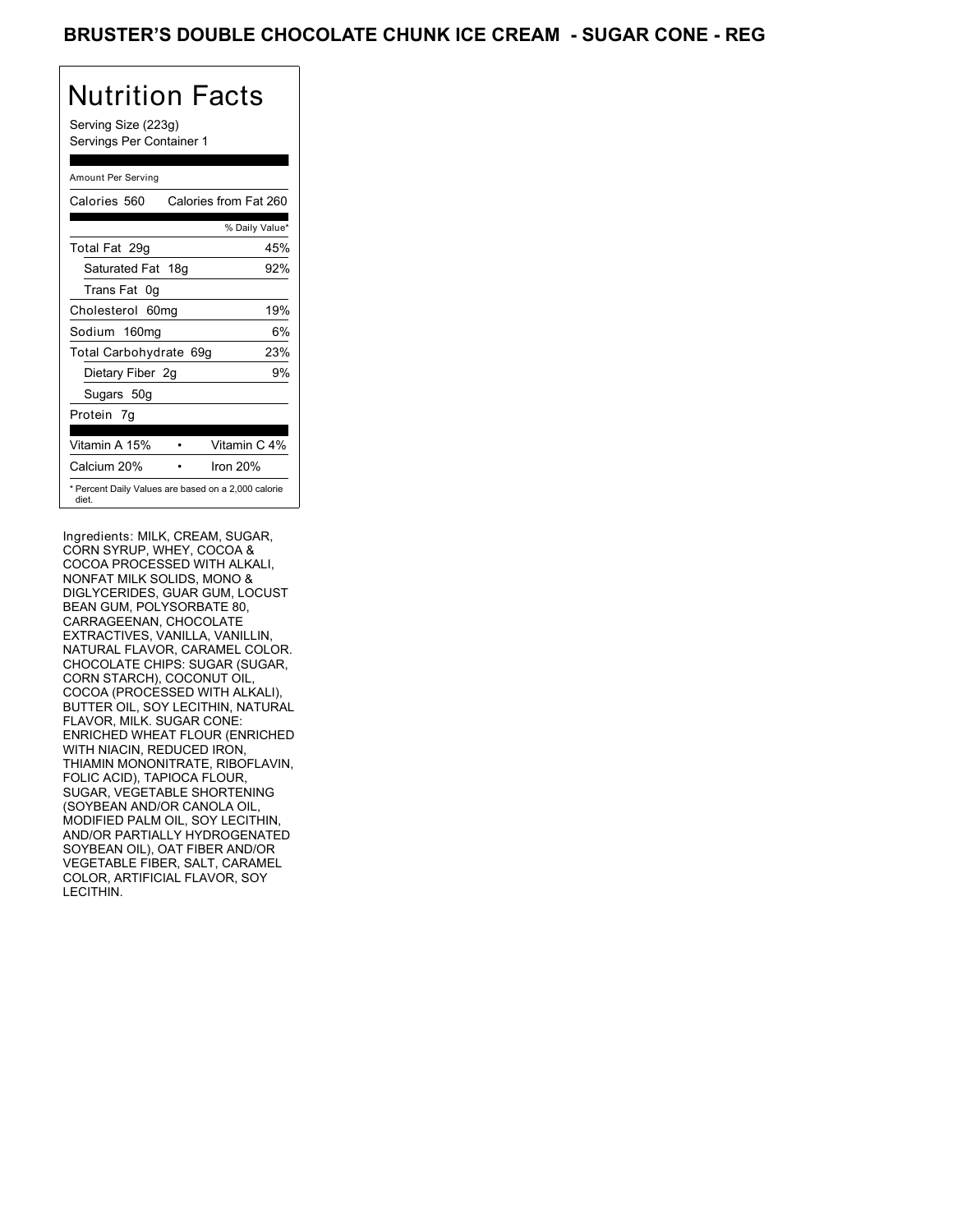Serving Size (223g) Servings Per Container 1

### Amount Per Serving

| Calories 560           | Calories from Fat 260                               |
|------------------------|-----------------------------------------------------|
|                        | % Daily Value*                                      |
| Total Fat 29q          | 45%                                                 |
| Saturated Fat 18g      | 92%                                                 |
| Trans Fat 0q           |                                                     |
| Cholesterol 60mg       | 19%                                                 |
| Sodium 160mg           | 6%                                                  |
| Total Carbohydrate 69g | 23%                                                 |
| Dietary Fiber 2g       | 9%                                                  |
| Sugars 50g             |                                                     |
| Protein 7q             |                                                     |
| Vitamin A 15%          | Vitamin C 4%                                        |
| Calcium 20%            | Iron $20%$                                          |
| diet.                  | * Percent Daily Values are based on a 2,000 calorie |

Ingredients: MILK, CREAM, SUGAR, CORN SYRUP, WHEY, COCOA & COCOA PROCESSED WITH ALKALI, NONFAT MILK SOLIDS, MONO & DIGLYCERIDES, GUAR GUM, LOCUST BEAN GUM, POLYSORBATE 80, CARRAGEENAN, CHOCOLATE EXTRACTIVES, VANILLA, VANILLIN, NATURAL FLAVOR, CARAMEL COLOR. CHOCOLATE CHIPS: SUGAR (SUGAR, CORN STARCH), COCONUT OIL, COCOA (PROCESSED WITH ALKALI), BUTTER OIL, SOY LECITHIN, NATURAL FLAVOR, MILK. SUGAR CONE: ENRICHED WHEAT FLOUR (ENRICHED WITH NIACIN, REDUCED IRON, THIAMIN MONONITRATE, RIBOFLAVIN, FOLIC ACID), TAPIOCA FLOUR, SUGAR, VEGETABLE SHORTENING (SOYBEAN AND/OR CANOLA OIL, MODIFIED PALM OIL, SOY LECITHIN, AND/OR PARTIALLY HYDROGENATED SOYBEAN OIL), OAT FIBER AND/OR VEGETABLE FIBER, SALT, CARAMEL COLOR, ARTIFICIAL FLAVOR, SOY LECITHIN.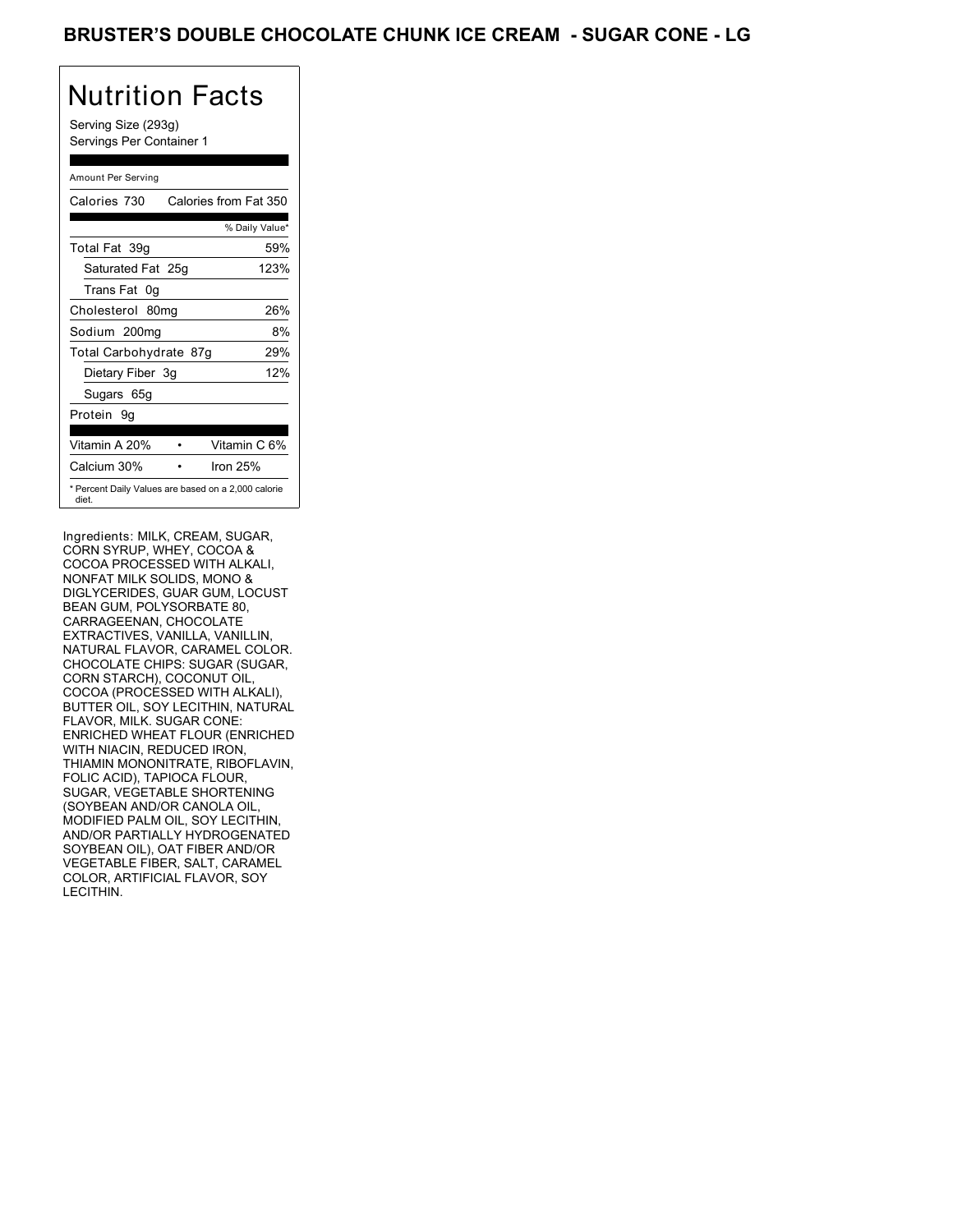Serving Size (293g) Servings Per Container 1

### Amount Per Serving

| Calories 730           | Calories from Fat 350                               |
|------------------------|-----------------------------------------------------|
|                        | % Daily Value*                                      |
| Total Fat 39q          | 59%                                                 |
| Saturated Fat 25g      | 123%                                                |
| Trans Fat 0q           |                                                     |
| Cholesterol 80mg       | 26%                                                 |
| Sodium 200mg           | 8%                                                  |
| Total Carbohydrate 87g | 29%                                                 |
| Dietary Fiber 3g       | 12%                                                 |
| Sugars 65g             |                                                     |
| Protein 9q             |                                                     |
|                        |                                                     |
| Vitamin A 20%          | Vitamin C 6%                                        |
| Calcium 30%            | Iron $25%$                                          |
| diet.                  | * Percent Daily Values are based on a 2,000 calorie |

Ingredients: MILK, CREAM, SUGAR, CORN SYRUP, WHEY, COCOA & COCOA PROCESSED WITH ALKALI, NONFAT MILK SOLIDS, MONO & DIGLYCERIDES, GUAR GUM, LOCUST BEAN GUM, POLYSORBATE 80, CARRAGEENAN, CHOCOLATE EXTRACTIVES, VANILLA, VANILLIN, NATURAL FLAVOR, CARAMEL COLOR. CHOCOLATE CHIPS: SUGAR (SUGAR, CORN STARCH), COCONUT OIL, COCOA (PROCESSED WITH ALKALI), BUTTER OIL, SOY LECITHIN, NATURAL FLAVOR, MILK. SUGAR CONE: ENRICHED WHEAT FLOUR (ENRICHED WITH NIACIN, REDUCED IRON, THIAMIN MONONITRATE, RIBOFLAVIN, FOLIC ACID), TAPIOCA FLOUR, SUGAR, VEGETABLE SHORTENING (SOYBEAN AND/OR CANOLA OIL, MODIFIED PALM OIL, SOY LECITHIN, AND/OR PARTIALLY HYDROGENATED SOYBEAN OIL), OAT FIBER AND/OR VEGETABLE FIBER, SALT, CARAMEL COLOR, ARTIFICIAL FLAVOR, SOY LECITHIN.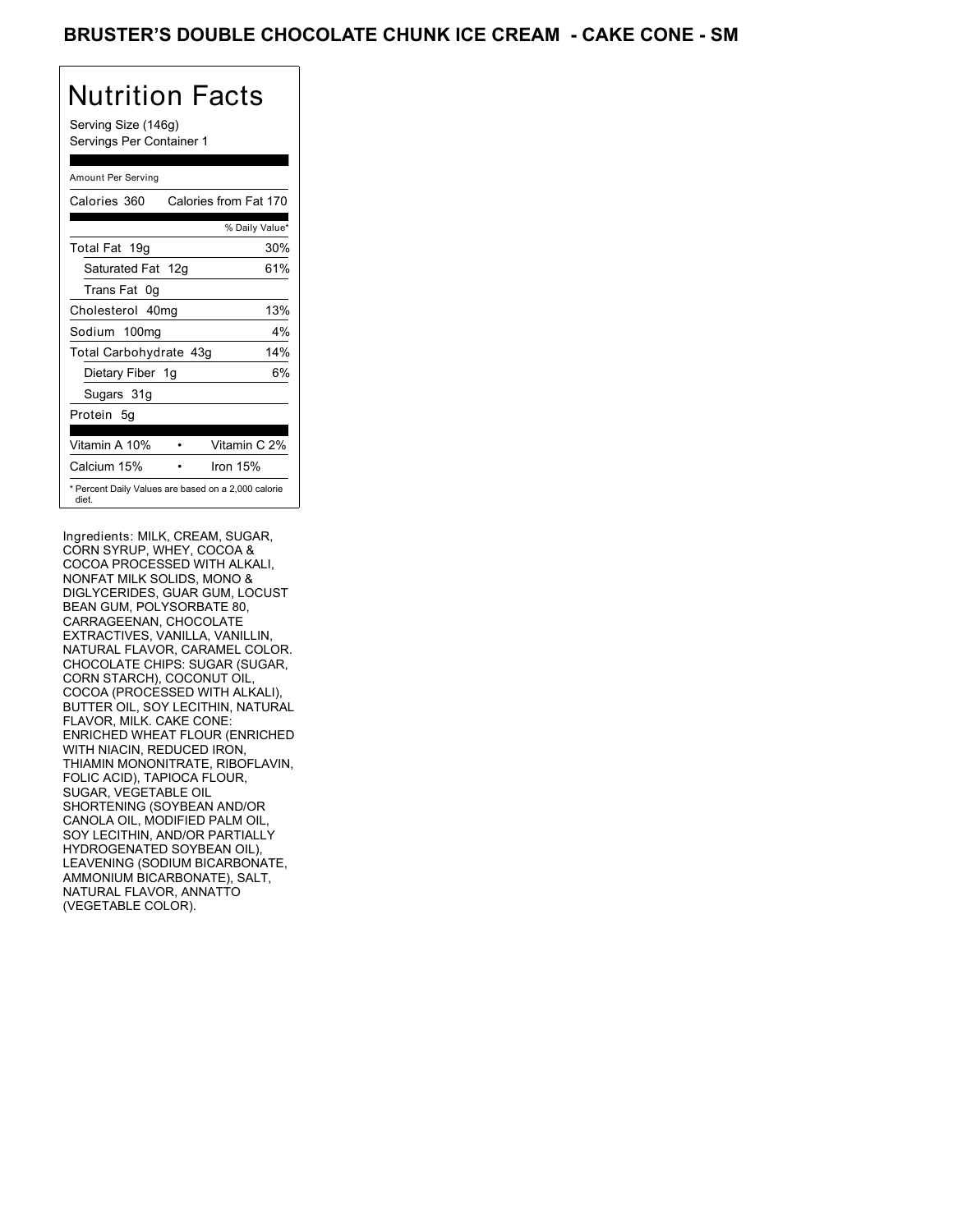Serving Size (146g) Servings Per Container 1

### Amount Per Serving

| Calories 360                                                 | Calories from Fat 170 |
|--------------------------------------------------------------|-----------------------|
|                                                              | % Daily Value*        |
| Total Fat 19g                                                | 30%                   |
| Saturated Fat 12g                                            | 61%                   |
| Trans Fat 0q                                                 |                       |
| Cholesterol 40mg                                             | 13%                   |
| Sodium 100mg                                                 | $4\%$                 |
| Total Carbohydrate 43g                                       | 14%                   |
| Dietary Fiber 1g                                             | 6%                    |
| Sugars 31g                                                   |                       |
| Protein 5q                                                   |                       |
|                                                              |                       |
| Vitamin A 10%                                                | Vitamin C 2%          |
| Calcium 15%                                                  | Iron $15%$            |
| * Percent Daily Values are based on a 2,000 calorie<br>diet. |                       |

Ingredients: MILK, CREAM, SUGAR, CORN SYRUP, WHEY, COCOA & COCOA PROCESSED WITH ALKALI, NONFAT MILK SOLIDS, MONO & DIGLYCERIDES, GUAR GUM, LOCUST BEAN GUM, POLYSORBATE 80, CARRAGEENAN, CHOCOLATE EXTRACTIVES, VANILLA, VANILLIN, NATURAL FLAVOR, CARAMEL COLOR. CHOCOLATE CHIPS: SUGAR (SUGAR, CORN STARCH), COCONUT OIL, COCOA (PROCESSED WITH ALKALI), BUTTER OIL, SOY LECITHIN, NATURAL FLAVOR, MILK. CAKE CONE: ENRICHED WHEAT FLOUR (ENRICHED WITH NIACIN, REDUCED IRON, THIAMIN MONONITRATE, RIBOFLAVIN, FOLIC ACID), TAPIOCA FLOUR, SUGAR, VEGETABLE OIL SHORTENING (SOYBEAN AND/OR CANOLA OIL, MODIFIED PALM OIL, SOY LECITHIN, AND/OR PARTIALLY HYDROGENATED SOYBEAN OIL), LEAVENING (SODIUM BICARBONATE, AMMONIUM BICARBONATE), SALT, NATURAL FLAVOR, ANNATTO (VEGETABLE COLOR).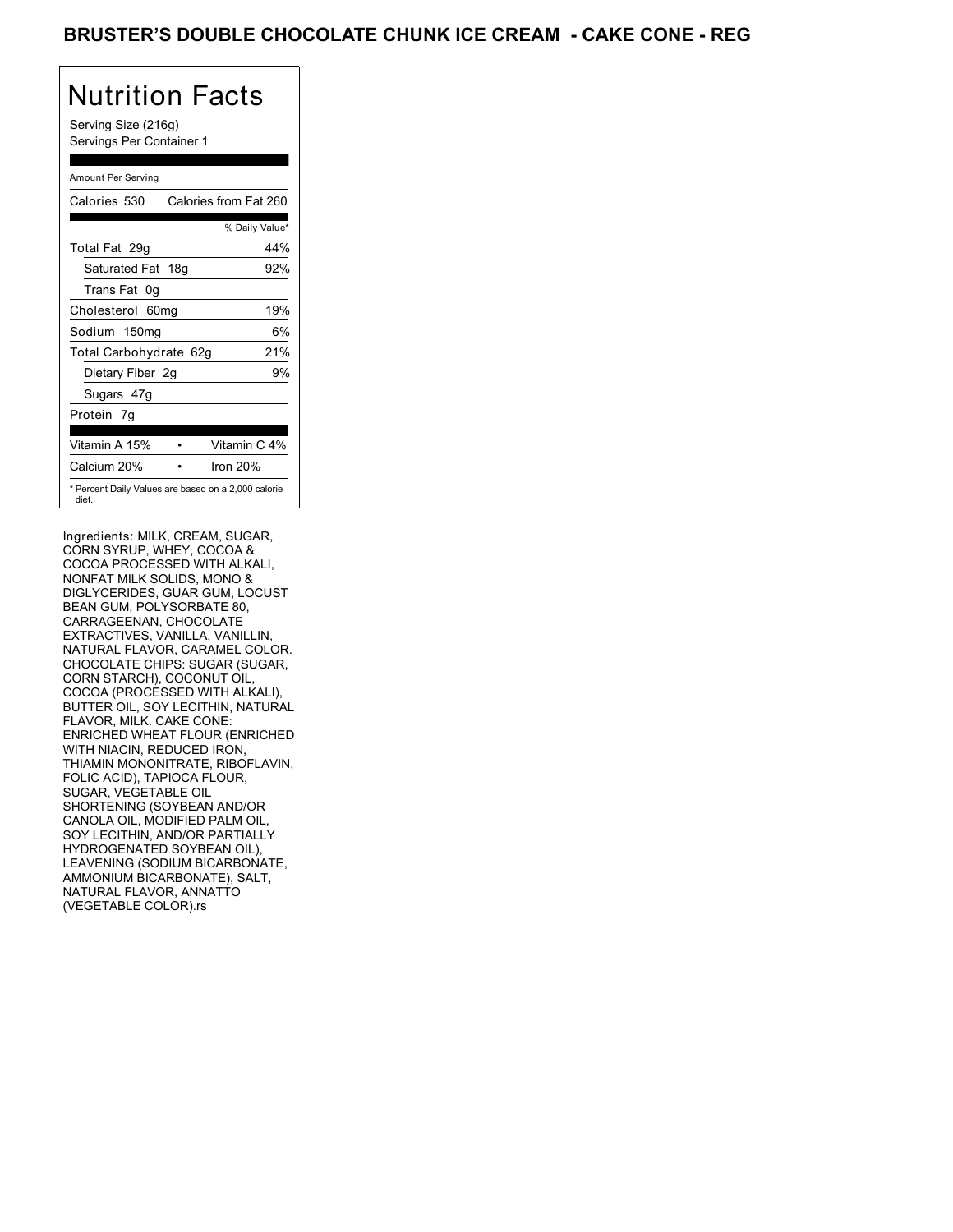Serving Size (216g) Servings Per Container 1

### Amount Per Serving

| Calories 530                                                 | Calories from Fat 260 |
|--------------------------------------------------------------|-----------------------|
|                                                              | % Daily Value*        |
| Total Fat 29g                                                | 44%                   |
| Saturated Fat 18g                                            | 92%                   |
| Trans Fat 0q                                                 |                       |
| Cholesterol 60mg                                             | 19%                   |
| Sodium 150mg                                                 | 6%                    |
| Total Carbohydrate 62g                                       | 21%                   |
| Dietary Fiber 2g                                             | 9%                    |
| Sugars 47g                                                   |                       |
| Protein 7q                                                   |                       |
| Vitamin A 15%                                                | Vitamin C 4%          |
| Calcium 20%                                                  | Iron $20%$            |
| * Percent Daily Values are based on a 2,000 calorie<br>diet. |                       |

Ingredients: MILK, CREAM, SUGAR, CORN SYRUP, WHEY, COCOA & COCOA PROCESSED WITH ALKALI, NONFAT MILK SOLIDS, MONO & DIGLYCERIDES, GUAR GUM, LOCUST BEAN GUM, POLYSORBATE 80, CARRAGEENAN, CHOCOLATE EXTRACTIVES, VANILLA, VANILLIN, NATURAL FLAVOR, CARAMEL COLOR. CHOCOLATE CHIPS: SUGAR (SUGAR, CORN STARCH), COCONUT OIL, COCOA (PROCESSED WITH ALKALI), BUTTER OIL, SOY LECITHIN, NATURAL FLAVOR, MILK. CAKE CONE: ENRICHED WHEAT FLOUR (ENRICHED WITH NIACIN, REDUCED IRON, THIAMIN MONONITRATE, RIBOFLAVIN, FOLIC ACID), TAPIOCA FLOUR, SUGAR, VEGETABLE OIL SHORTENING (SOYBEAN AND/OR CANOLA OIL, MODIFIED PALM OIL, SOY LECITHIN, AND/OR PARTIALLY HYDROGENATED SOYBEAN OIL), LEAVENING (SODIUM BICARBONATE, AMMONIUM BICARBONATE), SALT, NATURAL FLAVOR, ANNATTO (VEGETABLE COLOR).rs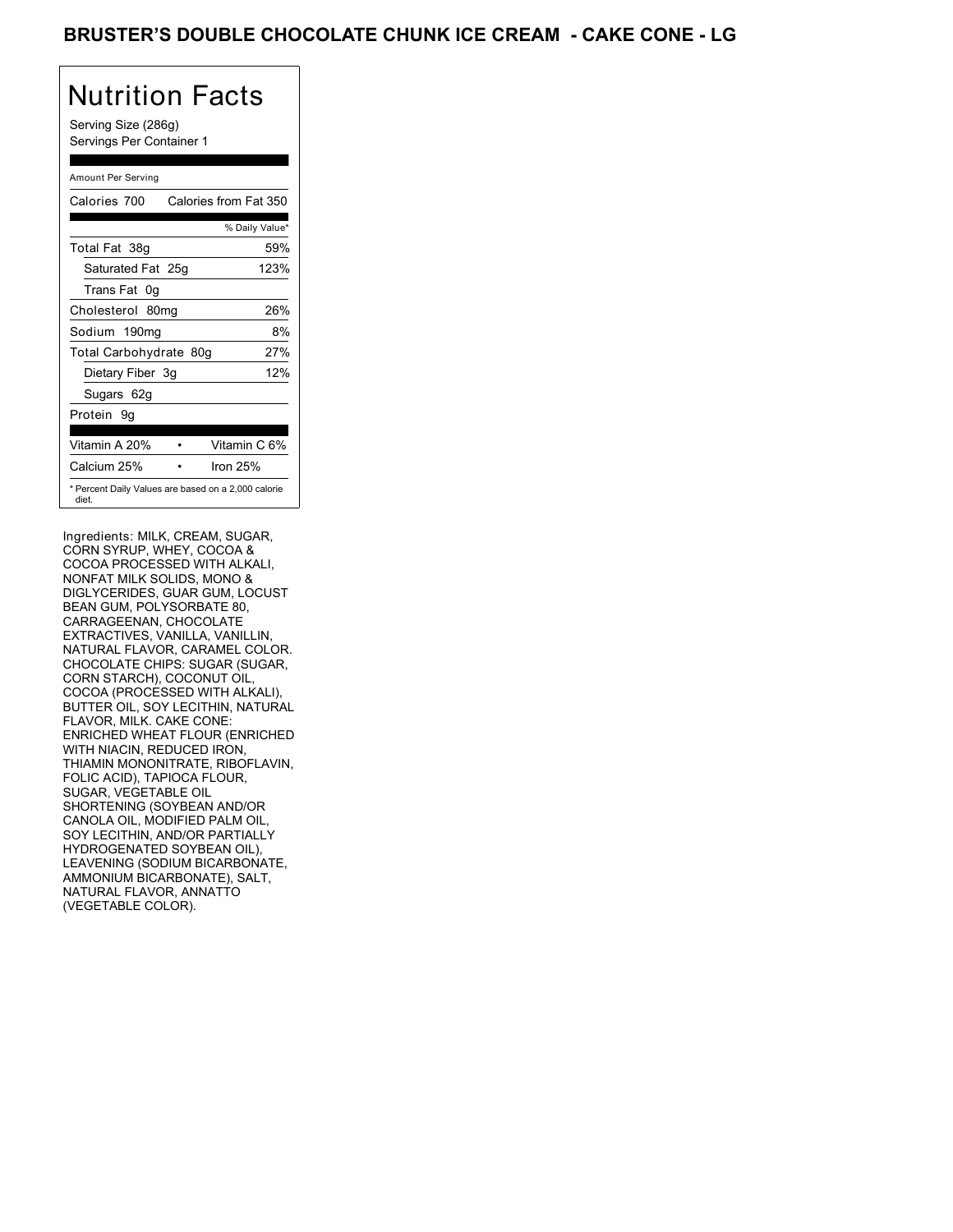Serving Size (286g) Servings Per Container 1

### Amount Per Serving

| Calories 700           | Calories from Fat 350                               |
|------------------------|-----------------------------------------------------|
|                        | % Daily Value*                                      |
| Total Fat 38g          | 59%                                                 |
| Saturated Fat 25g      | 123%                                                |
| Trans Fat 0q           |                                                     |
| Cholesterol 80mg       | 26%                                                 |
| Sodium 190mg           | 8%                                                  |
| Total Carbohydrate 80g | 27%                                                 |
| Dietary Fiber 3g       | 12%                                                 |
| Sugars 62g             |                                                     |
| Protein 9q             |                                                     |
|                        |                                                     |
| Vitamin A 20%          | Vitamin C 6%                                        |
| Calcium 25%            | Iron $25%$                                          |
| diet.                  | * Percent Daily Values are based on a 2,000 calorie |

Ingredients: MILK, CREAM, SUGAR, CORN SYRUP, WHEY, COCOA & COCOA PROCESSED WITH ALKALI, NONFAT MILK SOLIDS, MONO & DIGLYCERIDES, GUAR GUM, LOCUST BEAN GUM, POLYSORBATE 80, CARRAGEENAN, CHOCOLATE EXTRACTIVES, VANILLA, VANILLIN, NATURAL FLAVOR, CARAMEL COLOR. CHOCOLATE CHIPS: SUGAR (SUGAR, CORN STARCH), COCONUT OIL, COCOA (PROCESSED WITH ALKALI), BUTTER OIL, SOY LECITHIN, NATURAL FLAVOR, MILK. CAKE CONE: ENRICHED WHEAT FLOUR (ENRICHED WITH NIACIN, REDUCED IRON, THIAMIN MONONITRATE, RIBOFLAVIN, FOLIC ACID), TAPIOCA FLOUR, SUGAR, VEGETABLE OIL SHORTENING (SOYBEAN AND/OR CANOLA OIL, MODIFIED PALM OIL, SOY LECITHIN, AND/OR PARTIALLY HYDROGENATED SOYBEAN OIL), LEAVENING (SODIUM BICARBONATE, AMMONIUM BICARBONATE), SALT, NATURAL FLAVOR, ANNATTO (VEGETABLE COLOR).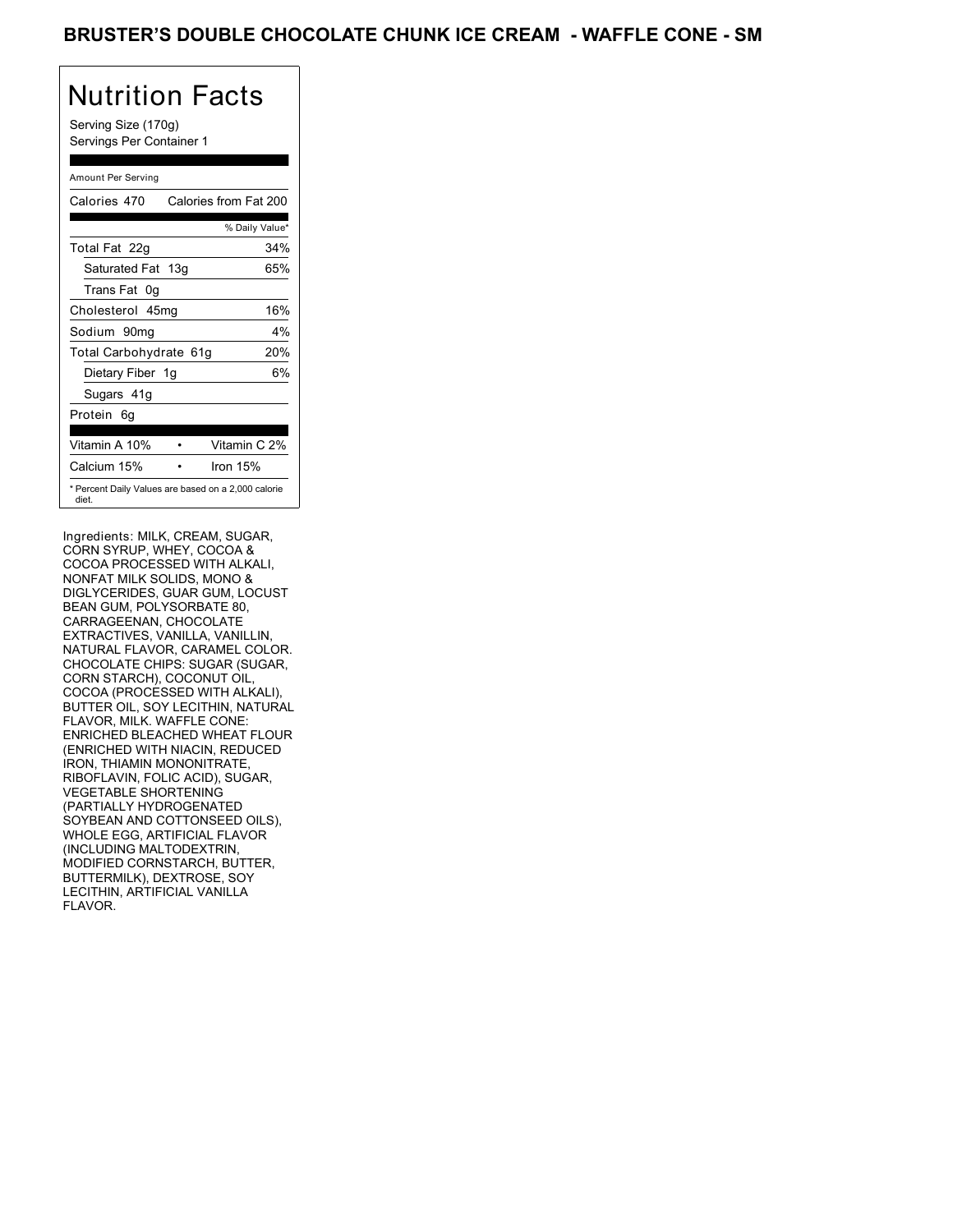Serving Size (170g) Servings Per Container 1

### Amount Per Serving

| Calories 470                                                 | Calories from Fat 200 |
|--------------------------------------------------------------|-----------------------|
|                                                              | % Daily Value*        |
| Total Fat 22g                                                | 34%                   |
| Saturated Fat 13g                                            | 65%                   |
| Trans Fat 0q                                                 |                       |
| Cholesterol 45mg                                             | 16%                   |
| Sodium 90mq                                                  | $4\%$                 |
| Total Carbohydrate 61g                                       | 20%                   |
| Dietary Fiber 1g                                             | 6%                    |
| Sugars 41g                                                   |                       |
| Protein 6q                                                   |                       |
| Vitamin A 10%                                                | Vitamin C 2%          |
| Calcium 15%                                                  | Iron $15%$            |
| * Percent Daily Values are based on a 2,000 calorie<br>diet. |                       |

Ingredients: MILK, CREAM, SUGAR, CORN SYRUP, WHEY, COCOA & COCOA PROCESSED WITH ALKALI, NONFAT MILK SOLIDS, MONO & DIGLYCERIDES, GUAR GUM, LOCUST BEAN GUM, POLYSORBATE 80, CARRAGEENAN, CHOCOLATE EXTRACTIVES, VANILLA, VANILLIN, NATURAL FLAVOR, CARAMEL COLOR. CHOCOLATE CHIPS: SUGAR (SUGAR, CORN STARCH), COCONUT OIL, COCOA (PROCESSED WITH ALKALI), BUTTER OIL, SOY LECITHIN, NATURAL FLAVOR, MILK. WAFFLE CONE: ENRICHED BLEACHED WHEAT FLOUR (ENRICHED WITH NIACIN, REDUCED IRON, THIAMIN MONONITRATE, RIBOFLAVIN, FOLIC ACID), SUGAR, VEGETABLE SHORTENING (PARTIALLY HYDROGENATED SOYBEAN AND COTTONSEED OILS), WHOLE EGG, ARTIFICIAL FLAVOR (INCLUDING MALTODEXTRIN, MODIFIED CORNSTARCH, BUTTER, BUTTERMILK), DEXTROSE, SOY LECITHIN, ARTIFICIAL VANILLA FLAVOR.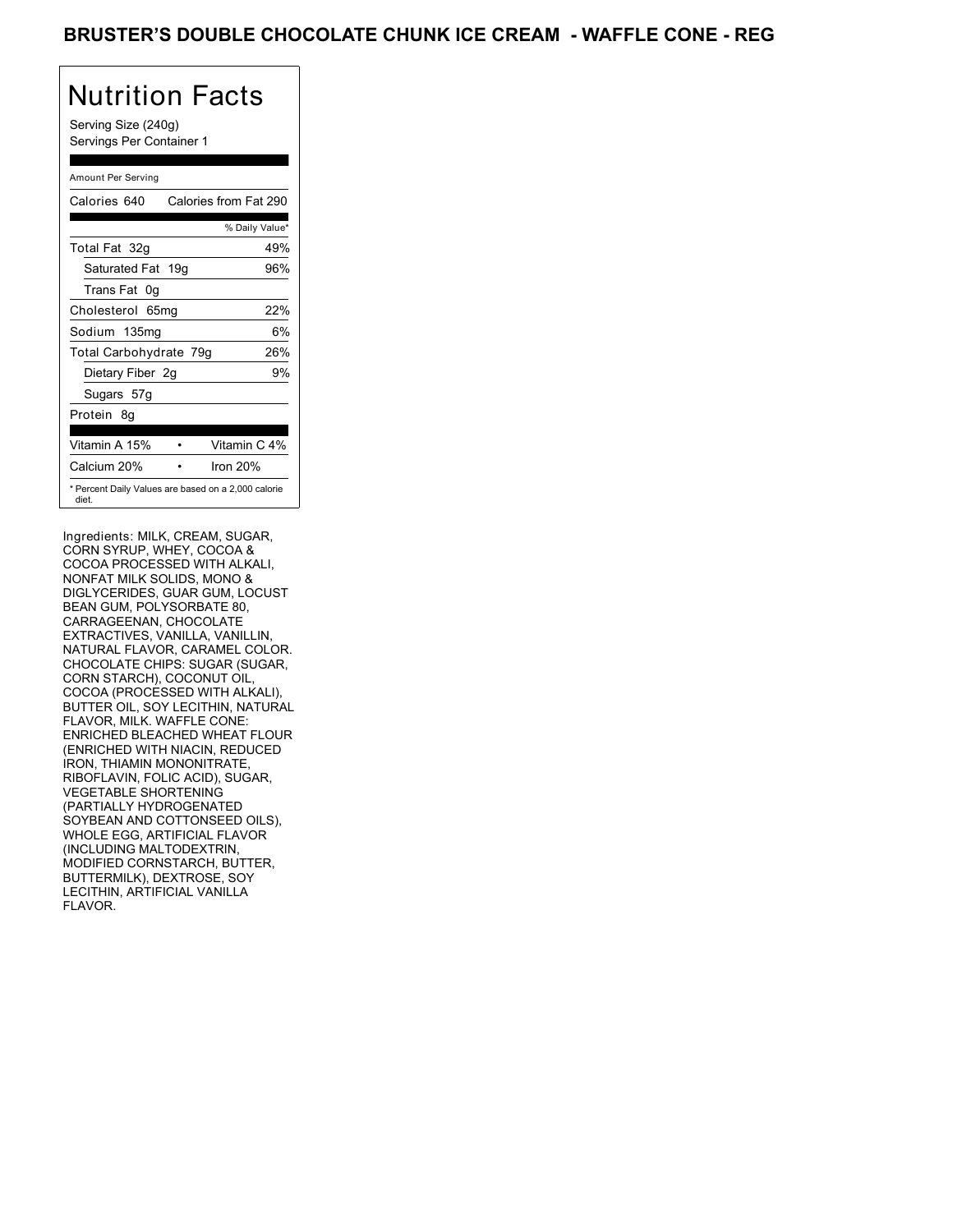Serving Size (240g) Servings Per Container 1

### Amount Per Serving

| Calories 640           | Calories from Fat 290                               |
|------------------------|-----------------------------------------------------|
|                        | % Daily Value*                                      |
| Total Fat 32g          | 49%                                                 |
| Saturated Fat 19g      | 96%                                                 |
| Trans Fat 0q           |                                                     |
| Cholesterol 65mg       | 22%                                                 |
| Sodium 135mg           | 6%                                                  |
| Total Carbohydrate 79g | 26%                                                 |
| Dietary Fiber 2g       | 9%                                                  |
| Sugars 57g             |                                                     |
| Protein 8q             |                                                     |
| Vitamin A 15%          | Vitamin C 4%                                        |
| Calcium 20%            | Iron 20%                                            |
| diet.                  | * Percent Daily Values are based on a 2,000 calorie |

Ingredients: MILK, CREAM, SUGAR, CORN SYRUP, WHEY, COCOA & COCOA PROCESSED WITH ALKALI, NONFAT MILK SOLIDS, MONO & DIGLYCERIDES, GUAR GUM, LOCUST BEAN GUM, POLYSORBATE 80, CARRAGEENAN, CHOCOLATE EXTRACTIVES, VANILLA, VANILLIN, NATURAL FLAVOR, CARAMEL COLOR. CHOCOLATE CHIPS: SUGAR (SUGAR, CORN STARCH), COCONUT OIL, COCOA (PROCESSED WITH ALKALI), BUTTER OIL, SOY LECITHIN, NATURAL FLAVOR, MILK. WAFFLE CONE: ENRICHED BLEACHED WHEAT FLOUR (ENRICHED WITH NIACIN, REDUCED IRON, THIAMIN MONONITRATE, RIBOFLAVIN, FOLIC ACID), SUGAR, VEGETABLE SHORTENING (PARTIALLY HYDROGENATED SOYBEAN AND COTTONSEED OILS), WHOLE EGG, ARTIFICIAL FLAVOR (INCLUDING MALTODEXTRIN, MODIFIED CORNSTARCH, BUTTER, BUTTERMILK), DEXTROSE, SOY LECITHIN, ARTIFICIAL VANILLA FLAVOR.